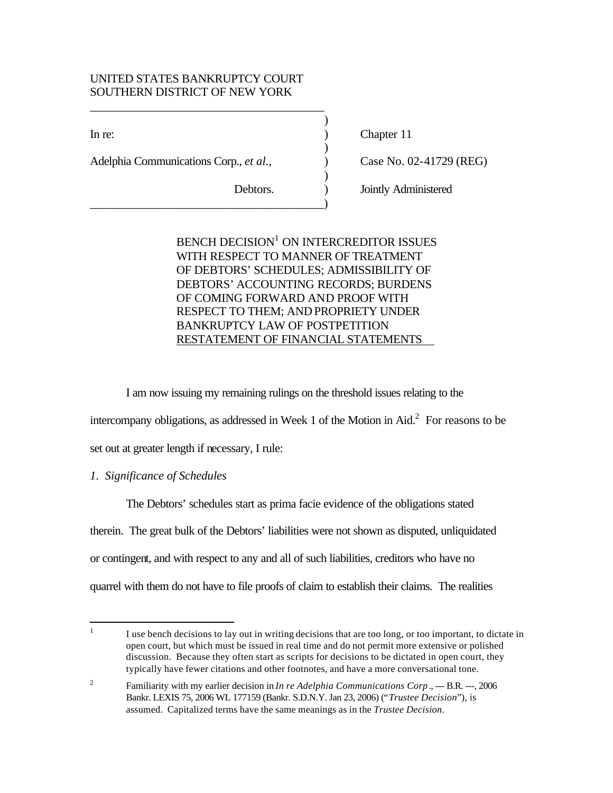# UNITED STATES BANKRUPTCY COURT SOUTHERN DISTRICT OF NEW YORK

\_\_\_\_\_\_\_\_\_\_\_\_\_\_\_\_\_\_\_\_\_\_\_\_\_\_\_\_\_\_\_\_\_\_\_\_\_\_\_

\_\_\_\_\_\_\_\_\_\_\_\_\_\_\_\_\_\_\_\_\_\_\_\_\_\_\_\_\_\_\_\_\_\_\_\_\_\_\_)

Adelphia Communications Corp., *et al.*, Case No. 02-41729 (REG)

In re: (a) Chapter 11

Debtors. ) Jointly Administered

BENCH DECISION<sup>1</sup> ON INTERCREDITOR ISSUES WITH RESPECT TO MANNER OF TREATMENT OF DEBTORS' SCHEDULES; ADMISSIBILITY OF DEBTORS' ACCOUNTING RECORDS; BURDENS OF COMING FORWARD AND PROOF WITH RESPECT TO THEM; AND PROPRIETY UNDER BANKRUPTCY LAW OF POSTPETITION RESTATEMENT OF FINANCIAL STATEMENTS

)

)

)

I am now issuing my remaining rulings on the threshold issues relating to the

intercompany obligations, as addressed in Week 1 of the Motion in Aid. $2$  For reasons to be

set out at greater length if necessary, I rule:

*1. Significance of Schedules*

The Debtors' schedules start as prima facie evidence of the obligations stated therein. The great bulk of the Debtors' liabilities were not shown as disputed, unliquidated or contingent, and with respect to any and all of such liabilities, creditors who have no quarrel with them do not have to file proofs of claim to establish their claims. The realities

 $\frac{1}{1}$ I use bench decisions to lay out in writing decisions that are too long, or too important, to dictate in open court, but which must be issued in real time and do not permit more extensive or polished discussion. Because they often start as scripts for decisions to be dictated in open court, they typically have fewer citations and other footnotes, and have a more conversational tone.

<sup>2</sup> Familiarity with my earlier decision in *In re Adelphia Communications Corp*., --- B.R. ---, 2006 Bankr. LEXIS 75, 2006 WL 177159 (Bankr. S.D.N.Y. Jan 23, 2006) ("*Trustee Decision*"), is assumed. Capitalized terms have the same meanings as in the *Trustee Decision*.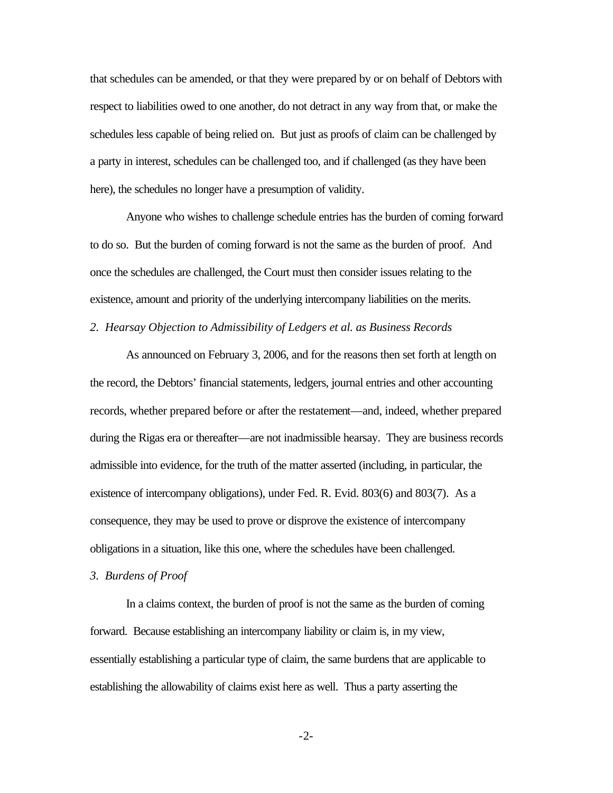that schedules can be amended, or that they were prepared by or on behalf of Debtors with respect to liabilities owed to one another, do not detract in any way from that, or make the schedules less capable of being relied on. But just as proofs of claim can be challenged by a party in interest, schedules can be challenged too, and if challenged (as they have been here), the schedules no longer have a presumption of validity.

Anyone who wishes to challenge schedule entries has the burden of coming forward to do so. But the burden of coming forward is not the same as the burden of proof. And once the schedules are challenged, the Court must then consider issues relating to the existence, amount and priority of the underlying intercompany liabilities on the merits.

# *2. Hearsay Objection to Admissibility of Ledgers et al. as Business Records*

As announced on February 3, 2006, and for the reasons then set forth at length on the record, the Debtors' financial statements, ledgers, journal entries and other accounting records, whether prepared before or after the restatement—and, indeed, whether prepared during the Rigas era or thereafter—are not inadmissible hearsay. They are business records admissible into evidence, for the truth of the matter asserted (including, in particular, the existence of intercompany obligations), under Fed. R. Evid. 803(6) and 803(7). As a consequence, they may be used to prove or disprove the existence of intercompany obligations in a situation, like this one, where the schedules have been challenged.

#### *3. Burdens of Proof*

In a claims context, the burden of proof is not the same as the burden of coming forward. Because establishing an intercompany liability or claim is, in my view, essentially establishing a particular type of claim, the same burdens that are applicable to establishing the allowability of claims exist here as well. Thus a party asserting the

-2-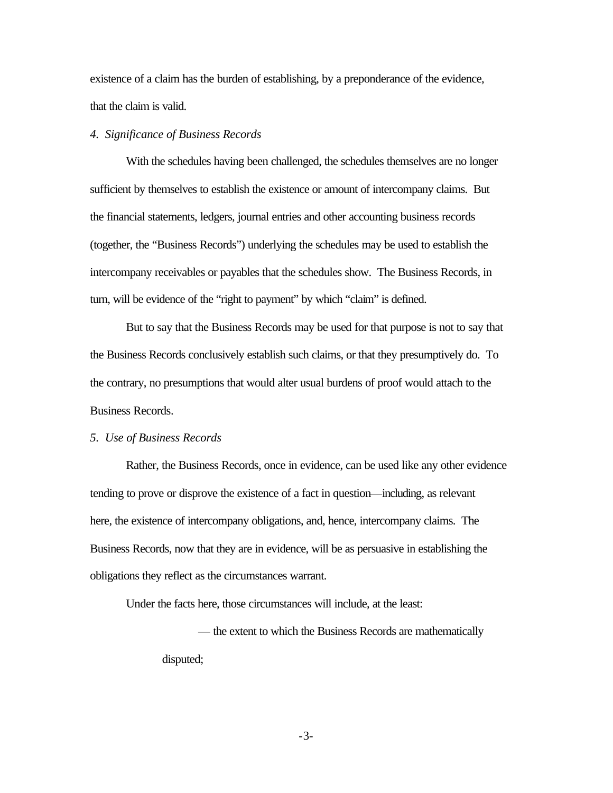existence of a claim has the burden of establishing, by a preponderance of the evidence, that the claim is valid.

## *4. Significance of Business Records*

With the schedules having been challenged, the schedules themselves are no longer sufficient by themselves to establish the existence or amount of intercompany claims. But the financial statements, ledgers, journal entries and other accounting business records (together, the "Business Records") underlying the schedules may be used to establish the intercompany receivables or payables that the schedules show. The Business Records, in turn, will be evidence of the "right to payment" by which "claim" is defined.

But to say that the Business Records may be used for that purpose is not to say that the Business Records conclusively establish such claims, or that they presumptively do. To the contrary, no presumptions that would alter usual burdens of proof would attach to the Business Records.

### *5. Use of Business Records*

Rather, the Business Records, once in evidence, can be used like any other evidence tending to prove or disprove the existence of a fact in question—including, as relevant here, the existence of intercompany obligations, and, hence, intercompany claims. The Business Records, now that they are in evidence, will be as persuasive in establishing the obligations they reflect as the circumstances warrant.

Under the facts here, those circumstances will include, at the least:

— the extent to which the Business Records are mathematically disputed;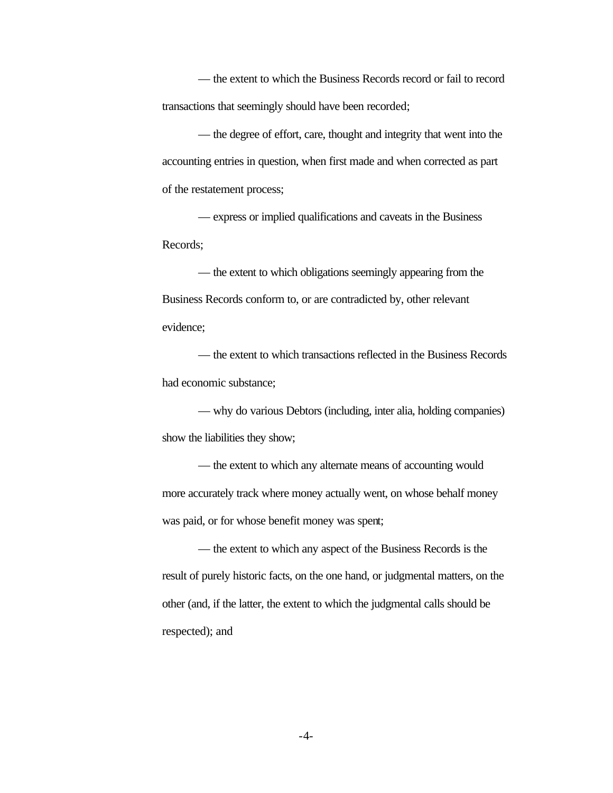— the extent to which the Business Records record or fail to record transactions that seemingly should have been recorded;

— the degree of effort, care, thought and integrity that went into the accounting entries in question, when first made and when corrected as part of the restatement process;

— express or implied qualifications and caveats in the Business Records;

— the extent to which obligations seemingly appearing from the Business Records conform to, or are contradicted by, other relevant evidence;

— the extent to which transactions reflected in the Business Records had economic substance;

— why do various Debtors (including, inter alia, holding companies) show the liabilities they show;

— the extent to which any alternate means of accounting would more accurately track where money actually went, on whose behalf money was paid, or for whose benefit money was spent;

— the extent to which any aspect of the Business Records is the result of purely historic facts, on the one hand, or judgmental matters, on the other (and, if the latter, the extent to which the judgmental calls should be respected); and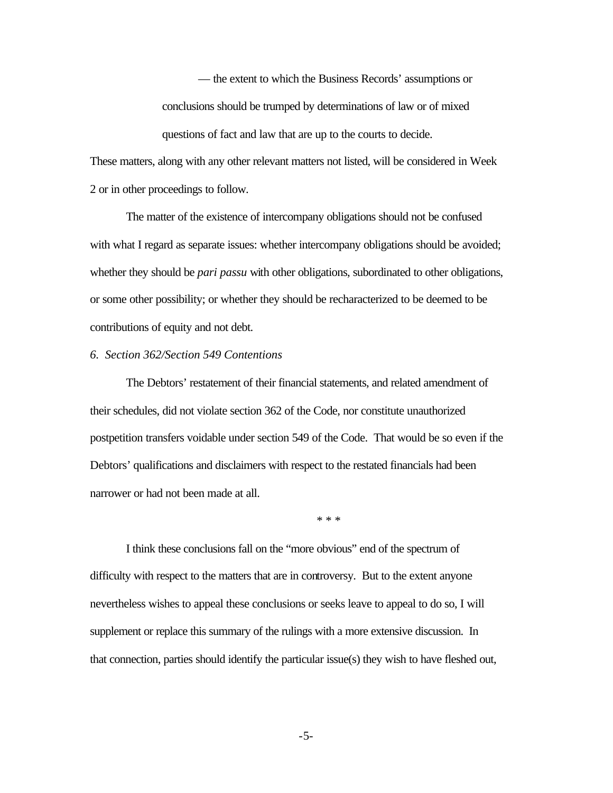— the extent to which the Business Records' assumptions or conclusions should be trumped by determinations of law or of mixed questions of fact and law that are up to the courts to decide.

These matters, along with any other relevant matters not listed, will be considered in Week 2 or in other proceedings to follow.

The matter of the existence of intercompany obligations should not be confused with what I regard as separate issues: whether intercompany obligations should be avoided; whether they should be *pari passu* with other obligations, subordinated to other obligations, or some other possibility; or whether they should be recharacterized to be deemed to be contributions of equity and not debt.

## *6. Section 362/Section 549 Contentions*

The Debtors' restatement of their financial statements, and related amendment of their schedules, did not violate section 362 of the Code, nor constitute unauthorized postpetition transfers voidable under section 549 of the Code. That would be so even if the Debtors' qualifications and disclaimers with respect to the restated financials had been narrower or had not been made at all.

\* \* \*

I think these conclusions fall on the "more obvious" end of the spectrum of difficulty with respect to the matters that are in controversy. But to the extent anyone nevertheless wishes to appeal these conclusions or seeks leave to appeal to do so, I will supplement or replace this summary of the rulings with a more extensive discussion. In that connection, parties should identify the particular issue(s) they wish to have fleshed out,